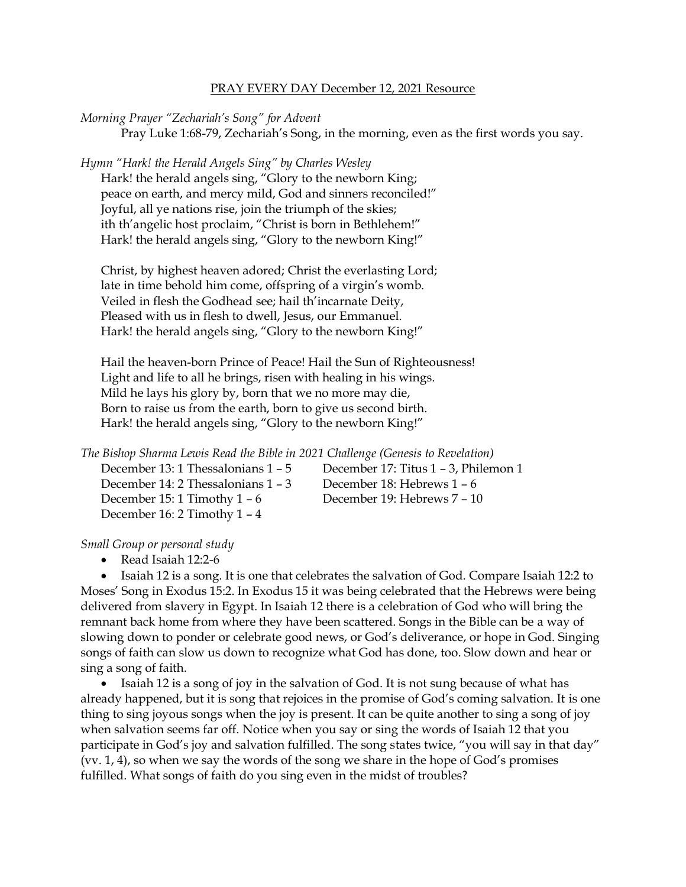## PRAY EVERY DAY December 12, 2021 Resource

*Morning Prayer "Zechariah's Song" for Advent*

Pray Luke 1:68-79, Zechariah's Song, in the morning, even as the first words you say.

*Hymn "Hark! the Herald Angels Sing" by Charles Wesley*

Hark! the herald angels sing, "Glory to the newborn King; peace on earth, and mercy mild, God and sinners reconciled!" Joyful, all ye nations rise, join the triumph of the skies; ith th'angelic host proclaim, "Christ is born in Bethlehem!" Hark! the herald angels sing, "Glory to the newborn King!"

Christ, by highest heaven adored; Christ the everlasting Lord; late in time behold him come, offspring of a virgin's womb. Veiled in flesh the Godhead see; hail th'incarnate Deity, Pleased with us in flesh to dwell, Jesus, our Emmanuel. Hark! the herald angels sing, "Glory to the newborn King!"

Hail the heaven-born Prince of Peace! Hail the Sun of Righteousness! Light and life to all he brings, risen with healing in his wings. Mild he lays his glory by, born that we no more may die, Born to raise us from the earth, born to give us second birth. Hark! the herald angels sing, "Glory to the newborn King!"

*The Bishop Sharma Lewis Read the Bible in 2021 Challenge (Genesis to Revelation)*

December 14: 2 Thessalonians 1 – 3 December 18: Hebrews 1 – 6 December 15: 1 Timothy 1 – 6 December 19: Hebrews 7 – 10 December 16: 2 Timothy 1 – 4

December 13: 1 Thessalonians 1 – 5 December 17: Titus 1 – 3, Philemon 1

*Small Group or personal study*

• Read Isaiah 12:2-6

• Isaiah 12 is a song. It is one that celebrates the salvation of God. Compare Isaiah 12:2 to Moses' Song in Exodus 15:2. In Exodus 15 it was being celebrated that the Hebrews were being delivered from slavery in Egypt. In Isaiah 12 there is a celebration of God who will bring the remnant back home from where they have been scattered. Songs in the Bible can be a way of slowing down to ponder or celebrate good news, or God's deliverance, or hope in God. Singing songs of faith can slow us down to recognize what God has done, too. Slow down and hear or sing a song of faith.

• Isaiah 12 is a song of joy in the salvation of God. It is not sung because of what has already happened, but it is song that rejoices in the promise of God's coming salvation. It is one thing to sing joyous songs when the joy is present. It can be quite another to sing a song of joy when salvation seems far off. Notice when you say or sing the words of Isaiah 12 that you participate in God's joy and salvation fulfilled. The song states twice, "you will say in that day" (vv. 1, 4), so when we say the words of the song we share in the hope of God's promises fulfilled. What songs of faith do you sing even in the midst of troubles?